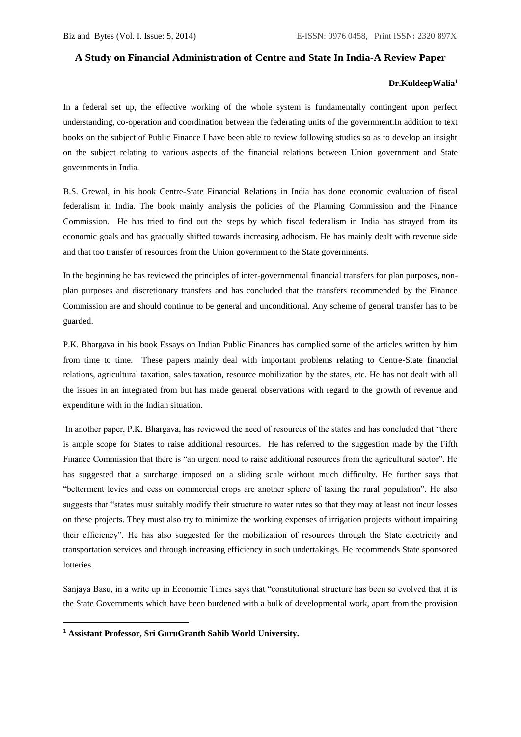## **A Study on Financial Administration of Centre and State In India-A Review Paper**

## **Dr.KuldeepWalia<sup>1</sup>**

In a federal set up, the effective working of the whole system is fundamentally contingent upon perfect understanding, co-operation and coordination between the federating units of the government.In addition to text books on the subject of Public Finance I have been able to review following studies so as to develop an insight on the subject relating to various aspects of the financial relations between Union government and State governments in India.

B.S. Grewal, in his book Centre-State Financial Relations in India has done economic evaluation of fiscal federalism in India. The book mainly analysis the policies of the Planning Commission and the Finance Commission. He has tried to find out the steps by which fiscal federalism in India has strayed from its economic goals and has gradually shifted towards increasing adhocism. He has mainly dealt with revenue side and that too transfer of resources from the Union government to the State governments.

In the beginning he has reviewed the principles of inter-governmental financial transfers for plan purposes, nonplan purposes and discretionary transfers and has concluded that the transfers recommended by the Finance Commission are and should continue to be general and unconditional. Any scheme of general transfer has to be guarded.

P.K. Bhargava in his book Essays on Indian Public Finances has complied some of the articles written by him from time to time. These papers mainly deal with important problems relating to Centre-State financial relations, agricultural taxation, sales taxation, resource mobilization by the states, etc. He has not dealt with all the issues in an integrated from but has made general observations with regard to the growth of revenue and expenditure with in the Indian situation.

In another paper, P.K. Bhargava, has reviewed the need of resources of the states and has concluded that "there is ample scope for States to raise additional resources. He has referred to the suggestion made by the Fifth Finance Commission that there is "an urgent need to raise additional resources from the agricultural sector". He has suggested that a surcharge imposed on a sliding scale without much difficulty. He further says that "betterment levies and cess on commercial crops are another sphere of taxing the rural population". He also suggests that "states must suitably modify their structure to water rates so that they may at least not incur losses on these projects. They must also try to minimize the working expenses of irrigation projects without impairing their efficiency". He has also suggested for the mobilization of resources through the State electricity and transportation services and through increasing efficiency in such undertakings. He recommends State sponsored lotteries.

Sanjaya Basu, in a write up in Economic Times says that "constitutional structure has been so evolved that it is the State Governments which have been burdened with a bulk of developmental work, apart from the provision

1

<sup>1</sup> **Assistant Professor, Sri GuruGranth Sahib World University.**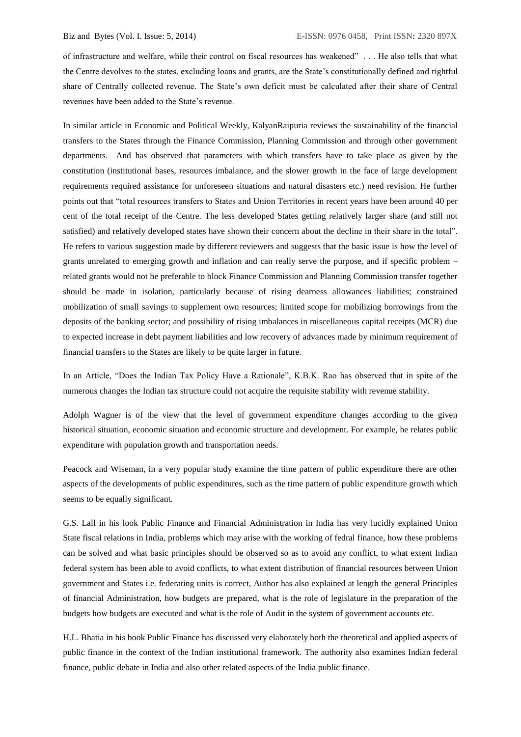of infrastructure and welfare, while their control on fiscal resources has weakened" . . . He also tells that what the Centre devolves to the states, excluding loans and grants, are the State's constitutionally defined and rightful share of Centrally collected revenue. The State's own deficit must be calculated after their share of Central revenues have been added to the State's revenue.

In similar article in Economic and Political Weekly, KalyanRaipuria reviews the sustainability of the financial transfers to the States through the Finance Commission, Planning Commission and through other government departments. And has observed that parameters with which transfers have to take place as given by the constitution (institutional bases, resources imbalance, and the slower growth in the face of large development requirements required assistance for unforeseen situations and natural disasters etc.) need revision. He further points out that "total resources transfers to States and Union Territories in recent years have been around 40 per cent of the total receipt of the Centre. The less developed States getting relatively larger share (and still not satisfied) and relatively developed states have shown their concern about the decline in their share in the total". He refers to various suggestion made by different reviewers and suggests that the basic issue is how the level of grants unrelated to emerging growth and inflation and can really serve the purpose, and if specific problem – related grants would not be preferable to block Finance Commission and Planning Commission transfer together should be made in isolation, particularly because of rising dearness allowances liabilities; constrained mobilization of small savings to supplement own resources; limited scope for mobilizing borrowings from the deposits of the banking sector; and possibility of rising imbalances in miscellaneous capital receipts (MCR) due to expected increase in debt payment liabilities and low recovery of advances made by minimum requirement of financial transfers to the States are likely to be quite larger in future.

In an Article, "Does the Indian Tax Policy Have a Rationale", K.B.K. Rao has observed that in spite of the numerous changes the Indian tax structure could not acquire the requisite stability with revenue stability.

Adolph Wagner is of the view that the level of government expenditure changes according to the given historical situation, economic situation and economic structure and development. For example, he relates public expenditure with population growth and transportation needs.

Peacock and Wiseman, in a very popular study examine the time pattern of public expenditure there are other aspects of the developments of public expenditures, such as the time pattern of public expenditure growth which seems to be equally significant.

G.S. Lall in his look Public Finance and Financial Administration in India has very lucidly explained Union State fiscal relations in India, problems which may arise with the working of fedral finance, how these problems can be solved and what basic principles should be observed so as to avoid any conflict, to what extent Indian federal system has been able to avoid conflicts, to what extent distribution of financial resources between Union government and States i.e. federating units is correct, Author has also explained at length the general Principles of financial Administration, how budgets are prepared, what is the role of legislature in the preparation of the budgets how budgets are executed and what is the role of Audit in the system of government accounts etc.

H.L. Bhatia in his book Public Finance has discussed very elaborately both the theoretical and applied aspects of public finance in the context of the Indian institutional framework. The authority also examines Indian federal finance, public debate in India and also other related aspects of the India public finance.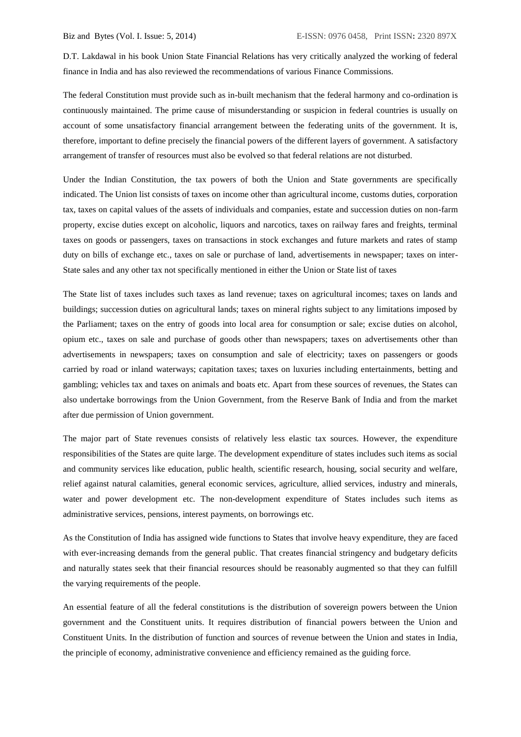D.T. Lakdawal in his book Union State Financial Relations has very critically analyzed the working of federal finance in India and has also reviewed the recommendations of various Finance Commissions.

The federal Constitution must provide such as in-built mechanism that the federal harmony and co-ordination is continuously maintained. The prime cause of misunderstanding or suspicion in federal countries is usually on account of some unsatisfactory financial arrangement between the federating units of the government. It is, therefore, important to define precisely the financial powers of the different layers of government. A satisfactory arrangement of transfer of resources must also be evolved so that federal relations are not disturbed.

Under the Indian Constitution, the tax powers of both the Union and State governments are specifically indicated. The Union list consists of taxes on income other than agricultural income, customs duties, corporation tax, taxes on capital values of the assets of individuals and companies, estate and succession duties on non-farm property, excise duties except on alcoholic, liquors and narcotics, taxes on railway fares and freights, terminal taxes on goods or passengers, taxes on transactions in stock exchanges and future markets and rates of stamp duty on bills of exchange etc., taxes on sale or purchase of land, advertisements in newspaper; taxes on inter-State sales and any other tax not specifically mentioned in either the Union or State list of taxes

The State list of taxes includes such taxes as land revenue; taxes on agricultural incomes; taxes on lands and buildings; succession duties on agricultural lands; taxes on mineral rights subject to any limitations imposed by the Parliament; taxes on the entry of goods into local area for consumption or sale; excise duties on alcohol, opium etc., taxes on sale and purchase of goods other than newspapers; taxes on advertisements other than advertisements in newspapers; taxes on consumption and sale of electricity; taxes on passengers or goods carried by road or inland waterways; capitation taxes; taxes on luxuries including entertainments, betting and gambling; vehicles tax and taxes on animals and boats etc. Apart from these sources of revenues, the States can also undertake borrowings from the Union Government, from the Reserve Bank of India and from the market after due permission of Union government.

The major part of State revenues consists of relatively less elastic tax sources. However, the expenditure responsibilities of the States are quite large. The development expenditure of states includes such items as social and community services like education, public health, scientific research, housing, social security and welfare, relief against natural calamities, general economic services, agriculture, allied services, industry and minerals, water and power development etc. The non-development expenditure of States includes such items as administrative services, pensions, interest payments, on borrowings etc.

As the Constitution of India has assigned wide functions to States that involve heavy expenditure, they are faced with ever-increasing demands from the general public. That creates financial stringency and budgetary deficits and naturally states seek that their financial resources should be reasonably augmented so that they can fulfill the varying requirements of the people.

An essential feature of all the federal constitutions is the distribution of sovereign powers between the Union government and the Constituent units. It requires distribution of financial powers between the Union and Constituent Units. In the distribution of function and sources of revenue between the Union and states in India, the principle of economy, administrative convenience and efficiency remained as the guiding force.